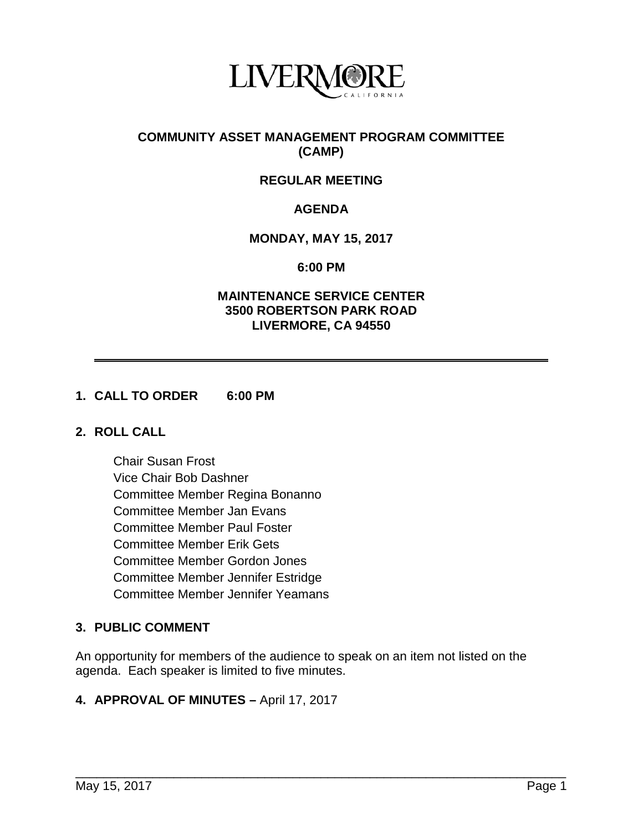

## **COMMUNITY ASSET MANAGEMENT PROGRAM COMMITTEE (CAMP)**

# **REGULAR MEETING**

# **AGENDA**

## **MONDAY, MAY 15, 2017**

#### **6:00 PM**

## **MAINTENANCE SERVICE CENTER 3500 ROBERTSON PARK ROAD LIVERMORE, CA 94550**

#### **1. CALL TO ORDER 6:00 PM**

## **2. ROLL CALL**

Chair Susan Frost Vice Chair Bob Dashner Committee Member Regina Bonanno Committee Member Jan Evans Committee Member Paul Foster Committee Member Erik Gets Committee Member Gordon Jones Committee Member Jennifer Estridge Committee Member Jennifer Yeamans

# **3. PUBLIC COMMENT**

An opportunity for members of the audience to speak on an item not listed on the agenda. Each speaker is limited to five minutes.

\_\_\_\_\_\_\_\_\_\_\_\_\_\_\_\_\_\_\_\_\_\_\_\_\_\_\_\_\_\_\_\_\_\_\_\_\_\_\_\_\_\_\_\_\_\_\_\_\_\_\_\_\_\_\_\_\_\_\_\_\_\_\_\_\_\_\_\_\_\_

#### **4. APPROVAL OF MINUTES –** April 17, 2017